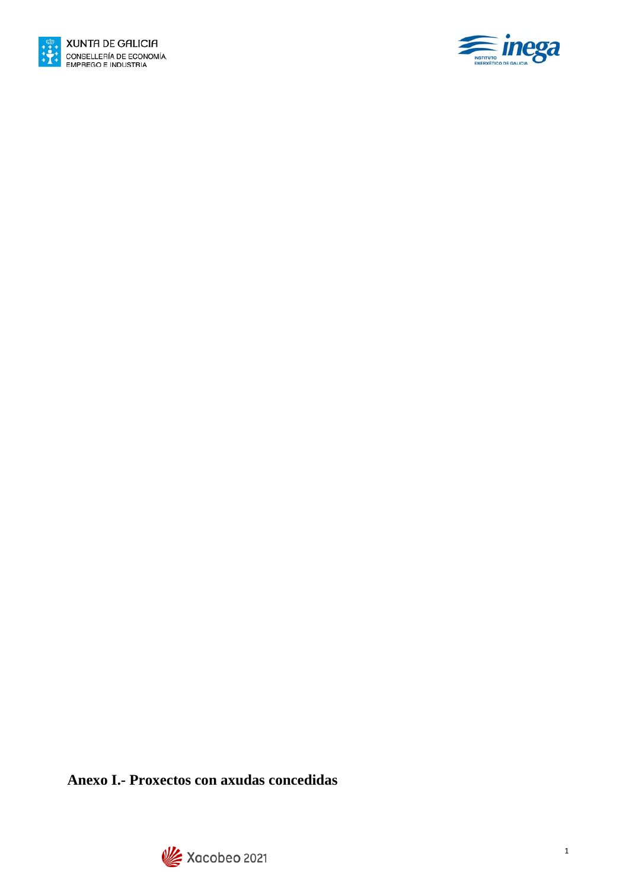



**Anexo I.- Proxectos con axudas concedidas**

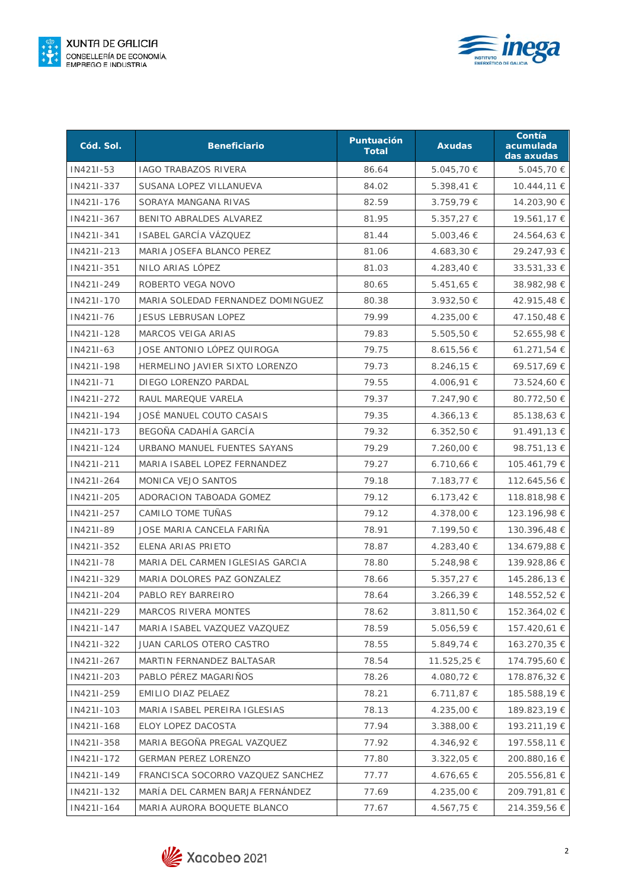



| Cód. Sol.  | <b>Beneficiario</b>               | Puntuación<br><b>Total</b> | <b>Axudas</b>  | Contía<br>acumulada<br>das axudas |
|------------|-----------------------------------|----------------------------|----------------|-----------------------------------|
| IN421I-53  | <b>IAGO TRABAZOS RIVERA</b>       | 86.64                      | 5.045,70 €     | 5.045,70 €                        |
| IN421I-337 | SUSANA LOPEZ VILLANUEVA           | 84.02                      | 5.398,41 €     | 10.444,11 €                       |
| IN421I-176 | SORAYA MANGANA RIVAS              | 82.59                      | 3.759,79 €     | 14.203,90 €                       |
| IN421I-367 | BENITO ABRALDES ALVAREZ           | 81.95                      | $5.357,27 \in$ | 19.561,17 €                       |
| IN421I-341 | ISABEL GARCÍA VÁZQUEZ             | 81.44                      | 5.003,46 €     | 24.564,63 €                       |
| IN421I-213 | MARIA JOSEFA BLANCO PEREZ         | 81.06                      | 4.683,30 €     | 29.247,93 €                       |
| IN421I-351 | NILO ARIAS LÓPEZ                  | 81.03                      | 4.283,40 €     | $33.531,33 \in$                   |
| IN421I-249 | ROBERTO VEGA NOVO                 | 80.65                      | $5.451,65 \in$ | 38.982,98 €                       |
| IN421I-170 | MARIA SOLEDAD FERNANDEZ DOMINGUEZ | 80.38                      | 3.932,50 €     | 42.915,48 €                       |
| IN421I-76  | <b>JESUS LEBRUSAN LOPEZ</b>       | 79.99                      | 4.235,00 €     | 47.150,48 €                       |
| IN421I-128 | <b>MARCOS VEIGA ARIAS</b>         | 79.83                      | $5.505,50 \in$ | 52.655,98 €                       |
| IN421I-63  | JOSE ANTONIO LÓPEZ QUIROGA        | 79.75                      | 8.615,56 €     | 61.271,54 €                       |
| IN421I-198 | HERMELINO JAVIER SIXTO LORENZO    | 79.73                      | $8.246,15 \in$ | 69.517,69 €                       |
| IN421I-71  | DIEGO LORENZO PARDAL              | 79.55                      | 4.006,91 €     | 73.524,60 €                       |
| IN421I-272 | RAUL MAREQUE VARELA               | 79.37                      | 7.247,90 €     | 80.772,50 €                       |
| IN421I-194 | JOSÉ MANUEL COUTO CASAIS          | 79.35                      | 4.366,13 €     | 85.138,63 €                       |
| IN421I-173 | BEGOÑA CADAHÍA GARCÍA             | 79.32                      | 6.352,50€      | 91.491,13 €                       |
| IN421I-124 | URBANO MANUEL FUENTES SAYANS      | 79.29                      | 7.260,00 €     | 98.751,13 €                       |
| IN421I-211 | MARIA ISABEL LOPEZ FERNANDEZ      | 79.27                      | $6.710,66 \in$ | 105.461,79 €                      |
| IN421I-264 | MONICA VEJO SANTOS                | 79.18                      | 7.183,77 €     | 112.645,56 €                      |
| IN421I-205 | ADORACION TABOADA GOMEZ           | 79.12                      | $6.173,42 \in$ | 118.818,98 €                      |
| IN421I-257 | CAMILO TOME TUÑAS                 | 79.12                      | 4.378,00 €     | 123.196,98 €                      |
| IN421I-89  | JOSE MARIA CANCELA FARIÑA         | 78.91                      | 7.199,50 €     | 130.396,48 €                      |
| IN421I-352 | ELENA ARIAS PRIETO                | 78.87                      | 4.283,40 €     | 134.679,88 €                      |
| IN421I-78  | MARIA DEL CARMEN IGLESIAS GARCIA  | 78.80                      | 5.248,98 €     | 139.928,86 €                      |
| IN421I-329 | MARIA DOLORES PAZ GONZALEZ        | 78.66                      | $5.357,27 \in$ | 145.286,13 €                      |
| IN421I-204 | PABLO REY BARREIRO                | 78.64                      | 3.266,39 €     | 148.552,52 €                      |
| IN421I-229 | MARCOS RIVERA MONTES              | 78.62                      | 3.811,50 €     | 152.364,02 €                      |
| IN421I-147 | MARIA ISABEL VAZQUEZ VAZQUEZ      | 78.59                      | 5.056,59€      | 157.420,61 €                      |
| IN421I-322 | JUAN CARLOS OTERO CASTRO          | 78.55                      | 5.849,74 €     | 163.270,35 €                      |
| IN421I-267 | MARTIN FERNANDEZ BALTASAR         | 78.54                      | 11.525,25 €    | 174.795,60 €                      |
| IN421I-203 | PABLO PÉREZ MAGARIÑOS             | 78.26                      | 4.080,72 €     | 178.876,32 €                      |
| IN421I-259 | EMILIO DIAZ PELAEZ                | 78.21                      | 6.711,87€      | 185.588,19€                       |
| IN421I-103 | MARIA ISABEL PEREIRA IGLESIAS     | 78.13                      | 4.235,00 €     | 189.823,19€                       |
| IN421I-168 | ELOY LOPEZ DACOSTA                | 77.94                      | 3.388,00 €     | 193.211,19 €                      |
| IN421I-358 | MARIA BEGOÑA PREGAL VAZQUEZ       | 77.92                      | 4.346,92 €     | 197.558,11 €                      |
| IN421I-172 | <b>GERMAN PEREZ LORENZO</b>       | 77.80                      | 3.322,05 €     | 200.880,16 €                      |
| IN421I-149 | FRANCISCA SOCORRO VAZQUEZ SANCHEZ | 77.77                      | 4.676,65 €     | 205.556,81 €                      |
| IN421I-132 | MARÍA DEL CARMEN BARJA FERNÁNDEZ  | 77.69                      | 4.235,00 €     | 209.791,81 €                      |
| IN421I-164 | MARIA AURORA BOQUETE BLANCO       | 77.67                      | 4.567,75 €     | 214.359,56 €                      |

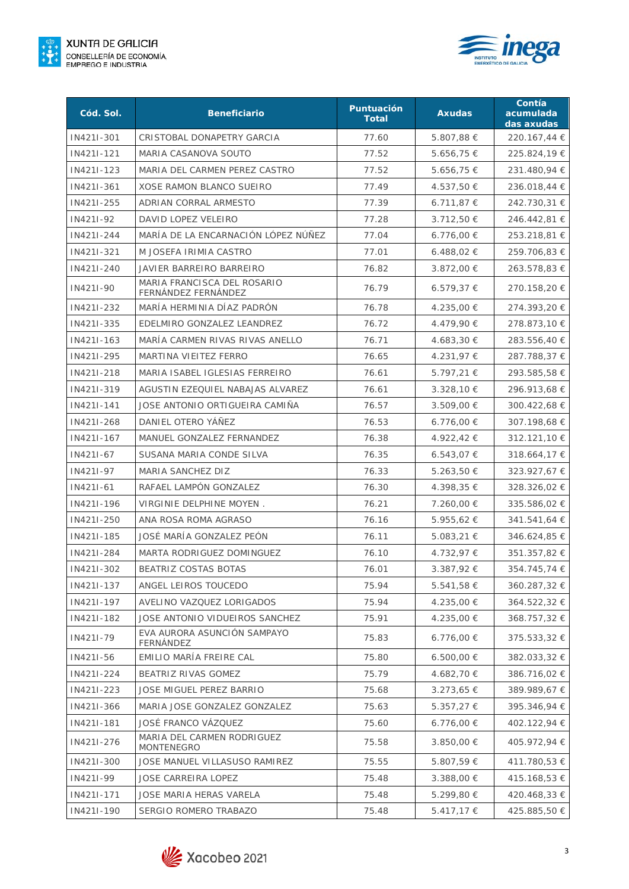



| Cód. Sol.  | <b>Beneficiario</b>                                | Puntuación<br><b>Total</b> | <b>Axudas</b>  | Contía<br>acumulada<br>das axudas |
|------------|----------------------------------------------------|----------------------------|----------------|-----------------------------------|
| IN421I-301 | CRISTOBAL DONAPETRY GARCIA                         | 77.60                      | 5.807,88 €     | 220.167,44 €                      |
| IN421I-121 | MARIA CASANOVA SOUTO                               | 77.52                      | 5.656,75 €     | 225.824,19€                       |
| IN421I-123 | MARIA DEL CARMEN PEREZ CASTRO                      | 77.52                      | 5.656,75 €     | 231.480,94 €                      |
| IN421I-361 | XOSE RAMON BLANCO SUEIRO                           | 77.49                      | 4.537,50 €     | 236.018,44 €                      |
| IN421I-255 | ADRIAN CORRAL ARMESTO                              | 77.39                      | 6.711,87 €     | 242.730,31 €                      |
| IN421I-92  | DAVID LOPEZ VELEIRO                                | 77.28                      | 3.712,50 €     | 246.442,81 €                      |
| IN421I-244 | MARÍA DE LA ENCARNACIÓN LÓPEZ NÚÑEZ                | 77.04                      | $6.776,00 \in$ | 253.218,81 €                      |
| IN421I-321 | M JOSEFA IRIMIA CASTRO                             | 77.01                      | 6.488,02€      | 259.706,83 €                      |
| IN421I-240 | JAVIER BARREIRO BARREIRO                           | 76.82                      | 3.872,00 €     | 263.578,83 €                      |
| IN421I-90  | MARIA FRANCISCA DEL ROSARIO<br>FERNÁNDEZ FERNÁNDEZ | 76.79                      | 6.579,37€      | 270.158,20 €                      |
| IN421I-232 | MARÍA HERMINIA DÍAZ PADRÓN                         | 76.78                      | 4.235,00 €     | 274.393,20 €                      |
| IN421I-335 | EDELMIRO GONZALEZ LEANDREZ                         | 76.72                      | 4.479,90 €     | 278.873,10 €                      |
| IN421I-163 | MARÍA CARMEN RIVAS RIVAS ANELLO                    | 76.71                      | 4.683,30 €     | 283.556,40 €                      |
| IN421I-295 | MARTINA VIEITEZ FERRO                              | 76.65                      | 4.231,97 €     | 287.788,37 €                      |
| IN421I-218 | MARIA ISABEL IGLESIAS FERREIRO                     | 76.61                      | $5.797,21 \in$ | 293.585,58€                       |
| IN421I-319 | AGUSTIN EZEQUIEL NABAJAS ALVAREZ                   | 76.61                      | $3.328,10 \in$ | 296.913,68 €                      |
| IN421I-141 | JOSE ANTONIO ORTIGUEIRA CAMIÑA                     | 76.57                      | 3.509,00 €     | 300.422,68 €                      |
| IN421I-268 | DANIEL OTERO YÁÑEZ                                 | 76.53                      | 6.776,00 €     | 307.198,68 €                      |
| IN421I-167 | MANUEL GONZALEZ FERNANDEZ                          | 76.38                      | 4.922,42 €     | 312.121,10 €                      |
| IN421I-67  | SUSANA MARIA CONDE SILVA                           | 76.35                      | 6.543,07€      | 318.664,17 €                      |
| IN421I-97  | MARIA SANCHEZ DIZ                                  | 76.33                      | $5.263,50 \in$ | 323.927,67 €                      |
| IN421I-61  | RAFAEL LAMPÓN GONZALEZ                             | 76.30                      | 4.398,35 €     | 328.326,02 €                      |
| IN421I-196 | VIRGINIE DELPHINE MOYEN.                           | 76.21                      | 7.260,00 €     | 335.586,02 €                      |
| IN421I-250 | ANA ROSA ROMA AGRASO                               | 76.16                      | 5.955,62 €     | 341.541,64 €                      |
| IN421I-185 | JOSÉ MARÍA GONZALEZ PEÓN                           | 76.11                      | 5.083,21 €     | 346.624,85 €                      |
| IN421I-284 | MARTA RODRIGUEZ DOMINGUEZ                          | 76.10                      | 4.732,97 €     | 351.357,82 €                      |
| IN421I-302 | BEATRIZ COSTAS BOTAS                               | 76.01                      | $3.387,92€$    | 354.745,74 €                      |
| IN421I-137 | ANGEL LEIROS TOUCEDO                               | 75.94                      | 5.541,58 €     | 360.287,32 €                      |
| IN421I-197 | AVELINO VAZQUEZ LORIGADOS                          | 75.94                      | 4.235,00 €     | 364.522,32 €                      |
| IN421I-182 | JOSE ANTONIO VIDUEIROS SANCHEZ                     | 75.91                      | 4.235,00 €     | 368.757,32 €                      |
| IN421I-79  | EVA AURORA ASUNCIÓN SAMPAYO<br>FERNÁNDEZ           | 75.83                      | 6.776,00 €     | 375.533,32 €                      |
| IN421I-56  | EMILIO MARÍA FREIRE CAL                            | 75.80                      | $6.500,00 \in$ | 382.033,32 €                      |
| IN421I-224 | BEATRIZ RIVAS GOMEZ                                | 75.79                      | 4.682,70 €     | 386.716,02 €                      |
| IN421I-223 | JOSE MIGUEL PEREZ BARRIO                           | 75.68                      | 3.273,65 €     | 389.989,67 €                      |
| IN421I-366 | MARIA JOSE GONZALEZ GONZALEZ                       | 75.63                      | 5.357,27 €     | 395.346,94 €                      |
| IN421I-181 | JOSÉ FRANCO VÁZQUEZ                                | 75.60                      | 6.776,00 €     | 402.122,94 €                      |
| IN421I-276 | MARIA DEL CARMEN RODRIGUEZ<br>MONTENEGRO           | 75.58                      | 3.850,00 €     | 405.972,94 €                      |
| IN421I-300 | JOSE MANUEL VILLASUSO RAMIREZ                      | 75.55                      | 5.807,59 €     | 411.780,53 €                      |
| IN421I-99  | JOSE CARREIRA LOPEZ                                | 75.48                      | 3.388,00 €     | 415.168,53 €                      |
| IN421I-171 | JOSE MARIA HERAS VARELA                            | 75.48                      | 5.299,80 €     | 420.468,33 €                      |
| IN421I-190 | SERGIO ROMERO TRABAZO                              | 75.48                      | 5.417,17 €     | 425.885,50 €                      |

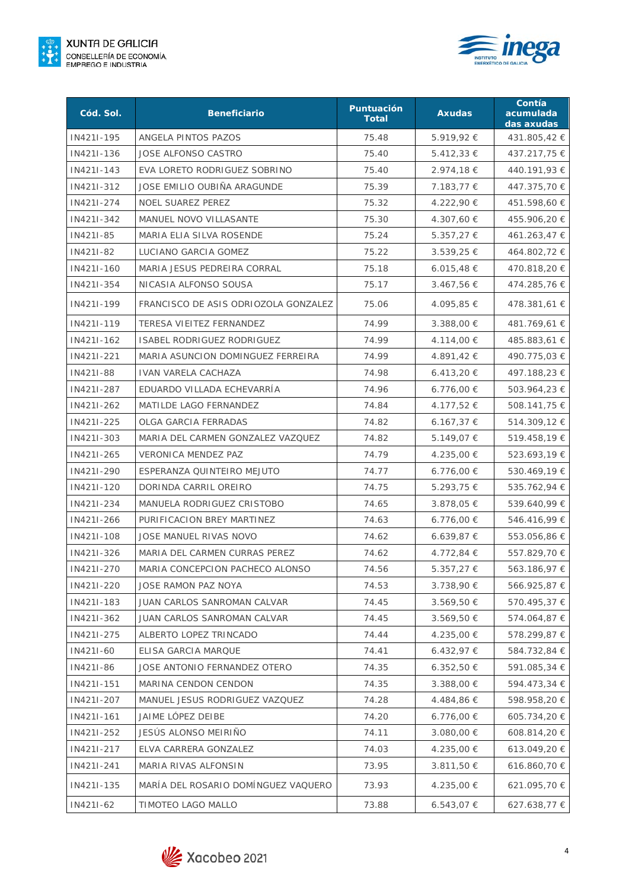



| Cód. Sol.  | <b>Beneficiario</b>                  | Puntuación<br><b>Total</b> | <b>Axudas</b>  | Contía<br>acumulada<br>das axudas |
|------------|--------------------------------------|----------------------------|----------------|-----------------------------------|
| IN421I-195 | ANGELA PINTOS PAZOS                  | 75.48                      | 5.919,92 €     | 431.805,42 €                      |
| IN421I-136 | <b>JOSE ALFONSO CASTRO</b>           | 75.40                      | 5.412,33 €     | 437.217,75 €                      |
| IN421I-143 | EVA LORETO RODRIGUEZ SOBRINO         | 75.40                      | 2.974,18 €     | 440.191,93 €                      |
| IN421I-312 | JOSE EMILIO OUBIÑA ARAGUNDE          | 75.39                      | 7.183,77 €     | 447.375,70€                       |
| IN421I-274 | <b>NOEL SUAREZ PEREZ</b>             | 75.32                      | 4.222,90 €     | 451.598,60 €                      |
| IN421I-342 | MANUEL NOVO VILLASANTE               | 75.30                      | 4.307,60 €     | 455.906,20 €                      |
| IN421I-85  | MARIA ELIA SILVA ROSENDE             | 75.24                      | 5.357,27 €     | 461.263,47 €                      |
| IN421I-82  | LUCIANO GARCIA GOMEZ                 | 75.22                      | 3.539,25 €     | 464.802,72 €                      |
| IN421I-160 | MARIA JESUS PEDREIRA CORRAL          | 75.18                      | 6.015,48 €     | 470.818,20 €                      |
| IN421I-354 | NICASIA ALFONSO SOUSA                | 75.17                      | 3.467,56 €     | 474.285,76 €                      |
| IN421I-199 | FRANCISCO DE ASIS ODRIOZOLA GONZALEZ | 75.06                      | 4.095,85 €     | 478.381,61 €                      |
| IN421I-119 | TERESA VIEITEZ FERNANDEZ             | 74.99                      | 3.388,00 €     | 481.769,61 €                      |
| IN421I-162 | ISABEL RODRIGUEZ RODRIGUEZ           | 74.99                      | 4.114,00 €     | 485.883,61 €                      |
| IN421I-221 | MARIA ASUNCION DOMINGUEZ FERREIRA    | 74.99                      | 4.891,42 €     | 490.775,03 €                      |
| IN421I-88  | <b>IVAN VARELA CACHAZA</b>           | 74.98                      | 6.413,20 €     | 497.188,23 €                      |
| IN421I-287 | EDUARDO VILLADA ECHEVARRÍA           | 74.96                      | $6.776,00 \in$ | 503.964,23 €                      |
| IN421I-262 | MATILDE LAGO FERNANDEZ               | 74.84                      | 4.177,52 €     | 508.141,75 €                      |
| IN421I-225 | OLGA GARCIA FERRADAS                 | 74.82                      | 6.167,37 €     | 514.309,12 €                      |
| IN421I-303 | MARIA DEL CARMEN GONZALEZ VAZQUEZ    | 74.82                      | 5.149,07 €     | 519.458,19€                       |
| IN421I-265 | <b>VERONICA MENDEZ PAZ</b>           | 74.79                      | 4.235,00 €     | 523.693,19€                       |
| IN421I-290 | ESPERANZA QUINTEIRO MEJUTO           | 74.77                      | $6.776,00 \in$ | 530.469,19€                       |
| IN421I-120 | DORINDA CARRIL OREIRO                | 74.75                      | 5.293,75 €     | 535.762,94 €                      |
| IN421I-234 | MANUELA RODRIGUEZ CRISTOBO           | 74.65                      | 3.878,05 €     | 539.640,99€                       |
| IN421I-266 | PURIFICACION BREY MARTINEZ           | 74.63                      | 6.776,00 €     | 546.416,99€                       |
| IN421I-108 | JOSE MANUEL RIVAS NOVO               | 74.62                      | 6.639,87 €     | 553.056,86 €                      |
| IN421I-326 | MARIA DEL CARMEN CURRAS PEREZ        | 74.62                      | 4.772,84 €     | 557.829,70 €                      |
| IN421I-270 | MARIA CONCEPCION PACHECO ALONSO      | 74.56                      | 5.357,27 €     | 563.186,97 €                      |
| IN421I-220 | JOSE RAMON PAZ NOYA                  | 74.53                      | 3.738,90 €     | 566.925,87 €                      |
| IN421I-183 | JUAN CARLOS SANROMAN CALVAR          | 74.45                      | 3.569,50 €     | 570.495,37 €                      |
| IN421I-362 | JUAN CARLOS SANROMAN CALVAR          | 74.45                      | 3.569,50 €     | 574.064,87 €                      |
| IN421I-275 | ALBERTO LOPEZ TRINCADO               | 74.44                      | 4.235,00 €     | 578.299,87 €                      |
| IN421I-60  | ELISA GARCIA MARQUE                  | 74.41                      | 6.432,97€      | 584.732,84 €                      |
| IN421I-86  | JOSE ANTONIO FERNANDEZ OTERO         | 74.35                      | $6.352,50 \in$ | 591.085,34 €                      |
| IN421I-151 | MARINA CENDON CENDON                 | 74.35                      | 3.388,00 €     | 594.473,34 €                      |
| IN421I-207 | MANUEL JESUS RODRIGUEZ VAZQUEZ       | 74.28                      | 4.484,86 €     | 598.958,20 €                      |
| IN421I-161 | JAIME LÓPEZ DEIBE                    | 74.20                      | 6.776,00 €     | 605.734,20 €                      |
| IN421I-252 | JESÚS ALONSO MEIRIÑO                 | 74.11                      | 3.080,00 €     | 608.814,20 €                      |
| IN421I-217 | ELVA CARRERA GONZALEZ                | 74.03                      | 4.235,00 €     | 613.049,20 €                      |
| IN421I-241 | MARIA RIVAS ALFONSIN                 | 73.95                      | 3.811,50 €     | 616.860,70 €                      |
| IN421I-135 | MARÍA DEL ROSARIO DOMÍNGUEZ VAQUERO  | 73.93                      | 4.235,00 €     | 621.095,70 €                      |
| IN421I-62  | TIMOTEO LAGO MALLO                   | 73.88                      | 6.543,07€      | 627.638,77 €                      |

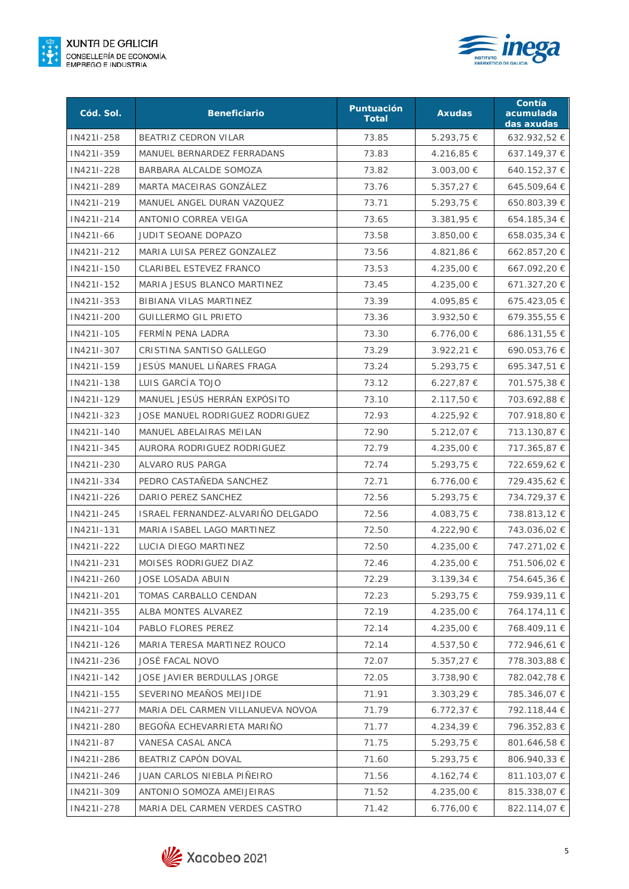



| Cód. Sol.  | <b>Beneficiario</b>               | Puntuación<br><b>Total</b> | <b>Axudas</b>  | Contía<br>acumulada<br>das axudas |
|------------|-----------------------------------|----------------------------|----------------|-----------------------------------|
| IN421I-258 | BEATRIZ CEDRON VILAR              | 73.85                      | 5.293,75 €     | 632.932,52 €                      |
| IN421I-359 | MANUEL BERNARDEZ FERRADANS        | 73.83                      | 4.216,85 €     | $637.149,37 \in$                  |
| IN421I-228 | BARBARA ALCALDE SOMOZA            | 73.82                      | 3.003,00 €     | 640.152,37 €                      |
| IN421I-289 | MARTA MACEIRAS GONZÁLEZ           | 73.76                      | $5.357,27 \in$ | 645.509,64 €                      |
| IN421I-219 | MANUEL ANGEL DURAN VAZQUEZ        | 73.71                      | 5.293,75 €     | 650.803,39 €                      |
| IN421I-214 | ANTONIO CORREA VEIGA              | 73.65                      | 3.381,95 €     | 654.185,34 €                      |
| IN421I-66  | JUDIT SEOANE DOPAZO               | 73.58                      | $3.850,00 \in$ | 658.035,34 €                      |
| IN421I-212 | MARIA LUISA PEREZ GONZALEZ        | 73.56                      | 4.821,86 €     | 662.857,20 €                      |
| IN421I-150 | CLARIBEL ESTEVEZ FRANCO           | 73.53                      | 4.235,00 €     | 667.092,20 €                      |
| IN421I-152 | MARIA JESUS BLANCO MARTINEZ       | 73.45                      | 4.235,00 €     | 671.327,20 €                      |
| IN421I-353 | BIBIANA VILAS MARTINEZ            | 73.39                      | 4.095,85 €     | 675.423,05 €                      |
| IN421I-200 | <b>GUILLERMO GIL PRIETO</b>       | 73.36                      | 3.932,50 €     | 679.355,55 €                      |
| IN421I-105 | FERMÍN PENA LADRA                 | 73.30                      | 6.776,00 €     | 686.131,55 €                      |
| IN421I-307 | CRISTINA SANTISO GALLEGO          | 73.29                      | $3.922,21 \in$ | 690.053,76€                       |
| IN421I-159 | JESÚS MANUEL LIÑARES FRAGA        | 73.24                      | 5.293,75 €     | 695.347,51 €                      |
| IN421I-138 | LUIS GARCÍA TOJO                  | 73.12                      | $6.227,87 \in$ | 701.575,38 €                      |
| IN421I-129 | MANUEL JESÚS HERRÁN EXPÓSITO      | 73.10                      | 2.117,50 €     | 703.692,88 €                      |
| IN421I-323 | JOSE MANUEL RODRIGUEZ RODRIGUEZ   | 72.93                      | 4.225,92 €     | 707.918,80 €                      |
| IN421I-140 | MANUEL ABELAIRAS MEILAN           | 72.90                      | 5.212,07 €     | 713.130,87 €                      |
| IN421I-345 | AURORA RODRIGUEZ RODRIGUEZ        | 72.79                      | 4.235,00 €     | 717.365,87 €                      |
| IN421I-230 | ALVARO RUS PARGA                  | 72.74                      | $5.293,75 \in$ | 722.659,62 €                      |
| IN421I-334 | PEDRO CASTAÑEDA SANCHEZ           | 72.71                      | $6.776,00 \in$ | 729.435,62 €                      |
| IN421I-226 | DARIO PEREZ SANCHEZ               | 72.56                      | 5.293,75 €     | 734.729,37 €                      |
| IN421I-245 | ISRAEL FERNANDEZ-ALVARIÑO DELGADO | 72.56                      | 4.083,75 €     | 738.813,12 €                      |
| IN421I-131 | MARIA ISABEL LAGO MARTINEZ        | 72.50                      | 4.222,90 €     | 743.036,02 €                      |
| IN421I-222 | LUCIA DIEGO MARTINEZ              | 72.50                      | 4.235,00 €     | 747.271,02 €                      |
| IN421I-231 | MOISES RODRIGUEZ DIAZ             | 72.46                      | 4.235,00 €     | 751.506,02 €                      |
| IN421I-260 | JOSE LOSADA ABUIN                 | 72.29                      | 3.139,34 €     | 754.645,36 €                      |
| IN421I-201 | TOMAS CARBALLO CENDAN             | 72.23                      | 5.293,75 €     | 759.939,11 €                      |
| IN421I-355 | ALBA MONTES ALVAREZ               | 72.19                      | 4.235,00 €     | 764.174,11 €                      |
| IN421I-104 | PABLO FLORES PEREZ                | 72.14                      | 4.235,00 €     | 768.409,11 €                      |
| IN421I-126 | MARIA TERESA MARTINEZ ROUCO       | 72.14                      | 4.537,50 €     | 772.946,61 €                      |
| IN421I-236 | <b>JOSÉ FACAL NOVO</b>            | 72.07                      | $5.357,27 \in$ | 778.303,88€                       |
| IN421I-142 | JOSE JAVIER BERDULLAS JORGE       | 72.05                      | 3.738,90 €     | 782.042,78 €                      |
| IN421I-155 | SEVERINO MEAÑOS MEIJIDE           | 71.91                      | 3.303,29 €     | 785.346,07 €                      |
| IN421I-277 | MARIA DEL CARMEN VILLANUEVA NOVOA | 71.79                      | 6.772,37€      | 792.118,44 €                      |
| IN421I-280 | BEGOÑA ECHEVARRIETA MARIÑO        | 71.77                      | 4.234,39 €     | 796.352,83 €                      |
| IN421I-87  | VANESA CASAL ANCA                 | 71.75                      | 5.293,75 €     | 801.646,58 €                      |
| IN421I-286 | BEATRIZ CAPÓN DOVAL               | 71.60                      | 5.293,75 €     | 806.940,33 €                      |
| IN421I-246 | JUAN CARLOS NIEBLA PIÑEIRO        | 71.56                      | 4.162,74 €     | 811.103,07 €                      |
| IN421I-309 | ANTONIO SOMOZA AMEIJEIRAS         | 71.52                      | 4.235,00 €     | 815.338,07 €                      |
| IN421I-278 | MARIA DEL CARMEN VERDES CASTRO    | 71.42                      | 6.776,00 €     | 822.114,07 €                      |

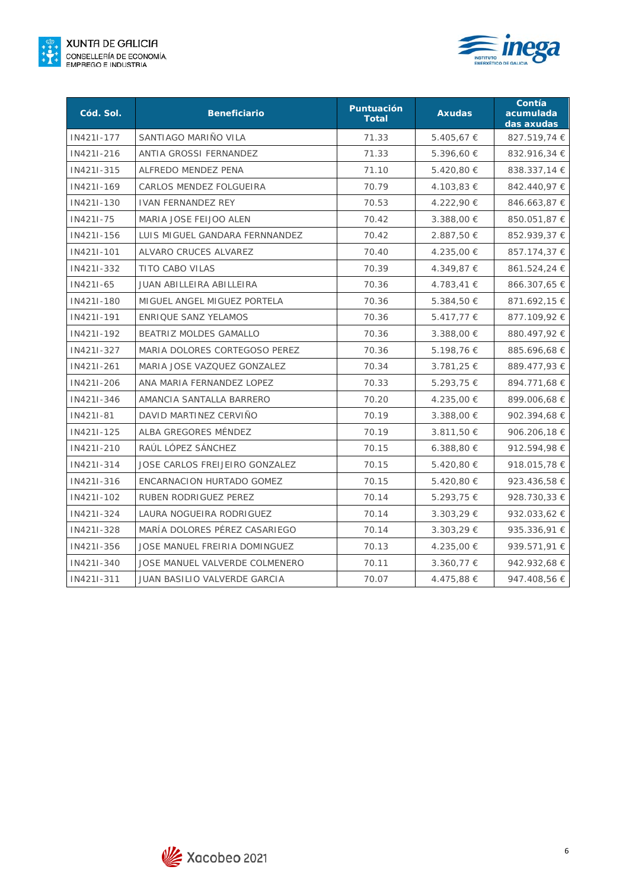



| Cód. Sol.  | <b>Beneficiario</b>            | Puntuación<br><b>Total</b> | <b>Axudas</b>  | Contía<br>acumulada<br>das axudas |
|------------|--------------------------------|----------------------------|----------------|-----------------------------------|
| IN421I-177 | SANTIAGO MARIÑO VILA           | 71.33                      | 5.405,67 €     | 827.519,74 €                      |
| IN421I-216 | ANTIA GROSSI FERNANDEZ         | 71.33                      | 5.396,60 €     | 832.916,34 €                      |
| IN421I-315 | ALFREDO MENDEZ PENA            | 71.10                      | 5.420,80 €     | 838.337,14 €                      |
| IN421I-169 | CARLOS MENDEZ FOLGUEIRA        | 70.79                      | 4.103,83 €     | 842.440,97 €                      |
| IN421I-130 | <b>IVAN FERNANDEZ REY</b>      | 70.53                      | 4.222,90 €     | 846.663,87 €                      |
| IN421I-75  | MARIA JOSE FEIJOO ALEN         | 70.42                      | 3.388,00 €     | 850.051,87 €                      |
| IN421I-156 | LUIS MIGUEL GANDARA FERNNANDEZ | 70.42                      | 2.887,50 €     | 852.939,37 €                      |
| IN421I-101 | ALVARO CRUCES ALVAREZ          | 70.40                      | 4.235,00 €     | 857.174,37 €                      |
| IN421I-332 | TITO CABO VILAS                | 70.39                      | 4.349,87 €     | 861.524,24 €                      |
| IN421I-65  | JUAN ABILLEIRA ABILLEIRA       | 70.36                      | 4.783,41 €     | 866.307,65 €                      |
| IN421I-180 | MIGUEL ANGEL MIGUEZ PORTELA    | 70.36                      | 5.384,50 €     | 871.692,15 €                      |
| IN421I-191 | ENRIQUE SANZ YELAMOS           | 70.36                      | $5.417,77 \in$ | 877.109,92 €                      |
| IN421I-192 | BEATRIZ MOLDES GAMALLO         | 70.36                      | 3.388,00 €     | 880.497,92 €                      |
| IN421I-327 | MARIA DOLORES CORTEGOSO PEREZ  | 70.36                      | 5.198,76 €     | 885.696,68€                       |
| IN421I-261 | MARIA JOSE VAZQUEZ GONZALEZ    | 70.34                      | 3.781,25 €     | 889.477,93€                       |
| IN421I-206 | ANA MARIA FERNANDEZ LOPEZ      | 70.33                      | 5.293,75 €     | 894.771,68 €                      |
| IN421I-346 | AMANCIA SANTALLA BARRERO       | 70.20                      | 4.235,00 €     | 899.006,68 €                      |
| IN421I-81  | DAVID MARTINEZ CERVIÑO         | 70.19                      | 3.388,00 €     | 902.394,68 €                      |
| IN421I-125 | ALBA GREGORES MÉNDEZ           | 70.19                      | $3.811,50 \in$ | 906.206,18 €                      |
| IN421I-210 | RAÚL LÓPEZ SÁNCHEZ             | 70.15                      | 6.388,80€      | 912.594,98 €                      |
| IN421I-314 | JOSE CARLOS FREIJEIRO GONZALEZ | 70.15                      | 5.420,80 €     | 918.015,78 €                      |
| IN421I-316 | ENCARNACION HURTADO GOMEZ      | 70.15                      | 5.420,80 €     | 923.436,58 €                      |
| IN421I-102 | RUBEN RODRIGUEZ PEREZ          | 70.14                      | 5.293,75 €     | 928.730,33 €                      |
| IN421I-324 | LAURA NOGUEIRA RODRIGUEZ       | 70.14                      | 3.303,29 €     | 932.033,62 €                      |
| IN421I-328 | MARÍA DOLORES PÉREZ CASARIEGO  | 70.14                      | $3.303,29 \in$ | 935.336,91 €                      |
| IN421I-356 | JOSE MANUEL FREIRIA DOMINGUEZ  | 70.13                      | 4.235,00 €     | 939.571,91 €                      |
| IN421I-340 | JOSE MANUEL VALVERDE COLMENERO | 70.11                      | 3.360,77 €     | 942.932,68 €                      |
| IN421I-311 | JUAN BASILIO VALVERDE GARCIA   | 70.07                      | 4.475,88 €     | 947.408,56 €                      |

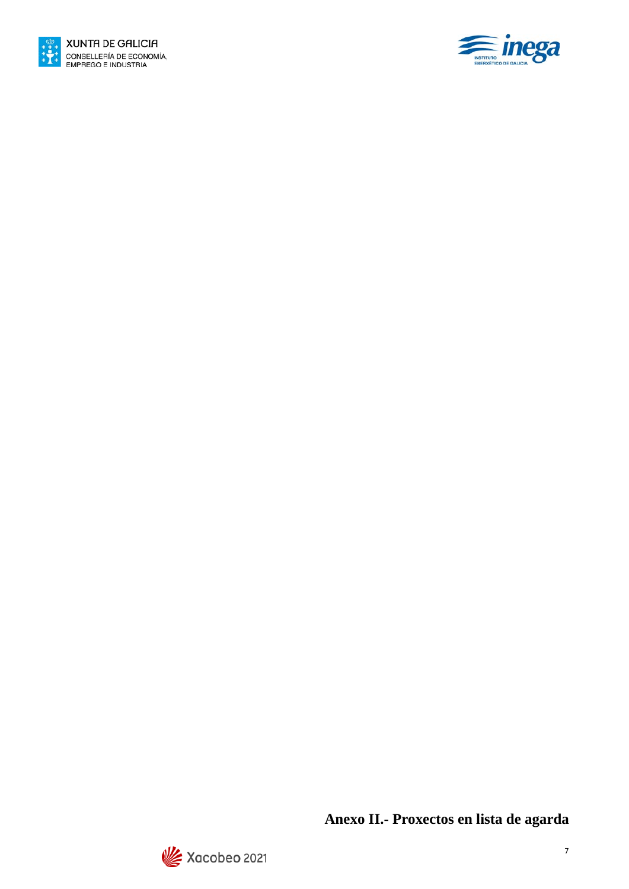



**Anexo II.- Proxectos en lista de agarda**

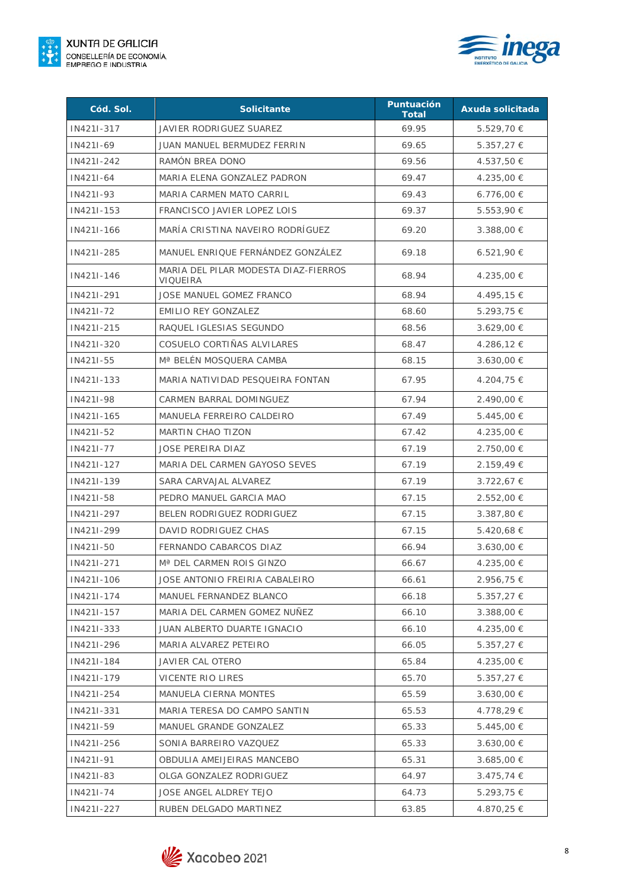



| Cód. Sol.  | <b>Solicitante</b>                               | <b>Puntuación</b><br><b>Total</b> | Axuda solicitada |
|------------|--------------------------------------------------|-----------------------------------|------------------|
| IN421I-317 | JAVIER RODRIGUEZ SUAREZ                          | 69.95                             | 5.529,70 €       |
| IN421I-69  | JUAN MANUEL BERMUDEZ FERRIN                      | 69.65                             | $5.357,27 \in$   |
| IN421I-242 | RAMÓN BREA DONO                                  | 69.56                             | 4.537,50 €       |
| IN421I-64  | MARIA ELENA GONZALEZ PADRON                      | 69.47                             | 4.235,00 €       |
| IN421I-93  | MARIA CARMEN MATO CARRIL                         | 69.43                             | $6.776,00 \in$   |
| IN421I-153 | FRANCISCO JAVIER LOPEZ LOIS                      | 69.37                             | 5.553,90€        |
| IN421I-166 | MARÍA CRISTINA NAVEIRO RODRÍGUEZ                 | 69.20                             | 3.388,00 €       |
| IN421I-285 | MANUEL ENRIQUE FERNÁNDEZ GONZÁLEZ                | 69.18                             | $6.521,90 \in$   |
| IN421I-146 | MARIA DEL PILAR MODESTA DIAZ-FIERROS<br>VIQUEIRA | 68.94                             | 4.235,00 €       |
| IN421I-291 | JOSE MANUEL GOMEZ FRANCO                         | 68.94                             | 4.495,15 €       |
| IN421I-72  | <b>EMILIO REY GONZALEZ</b>                       | 68.60                             | $5.293,75 \in$   |
| IN421I-215 | RAQUEL IGLESIAS SEGUNDO                          | 68.56                             | 3.629,00 €       |
| IN421I-320 | COSUELO CORTIÑAS ALVILARES                       | 68.47                             | 4.286,12 €       |
| IN421I-55  | Mª BELÉN MOSQUERA CAMBA                          | 68.15                             | 3.630,00 €       |
| IN421I-133 | MARIA NATIVIDAD PESQUEIRA FONTAN                 | 67.95                             | 4.204,75 €       |
| IN421I-98  | CARMEN BARRAL DOMINGUEZ                          | 67.94                             | 2.490,00 €       |
| IN421I-165 | MANUELA FERREIRO CALDEIRO                        | 67.49                             | $5.445,00 \in$   |
| IN421I-52  | MARTIN CHAO TIZON                                | 67.42                             | 4.235,00 €       |
| IN421I-77  | <b>JOSE PEREIRA DIAZ</b>                         | 67.19                             | 2.750,00 €       |
| IN421I-127 | MARIA DEL CARMEN GAYOSO SEVES                    | 67.19                             | 2.159,49€        |
| IN421I-139 | SARA CARVAJAL ALVAREZ                            | 67.19                             | 3.722,67 €       |
| IN421I-58  | PEDRO MANUEL GARCIA MAO                          | 67.15                             | $2.552,00 \in$   |
| IN421I-297 | BELEN RODRIGUEZ RODRIGUEZ                        | 67.15                             | $3.387,80 \in$   |
| IN421I-299 | DAVID RODRIGUEZ CHAS                             | 67.15                             | 5.420,68 €       |
| IN421I-50  | FERNANDO CABARCOS DIAZ                           | 66.94                             | $3.630,00 \in$   |
| IN421I-271 | M <sup>a</sup> DEL CARMEN ROIS GINZO             | 66.67                             | 4.235,00 €       |
| IN421I-106 | JOSE ANTONIO FREIRIA CABALEIRO                   | 66.61                             | 2.956,75 €       |
| IN421I-174 | MANUEL FERNANDEZ BLANCO                          | 66.18                             | $5.357,27 \in$   |
| IN421I-157 | MARIA DEL CARMEN GOMEZ NUÑEZ                     | 66.10                             | $3.388,00 \in$   |
| IN421I-333 | JUAN ALBERTO DUARTE IGNACIO                      | 66.10                             | 4.235,00 €       |
| IN421I-296 | MARIA ALVAREZ PETEIRO                            | 66.05                             | $5.357,27 \in$   |
| IN421I-184 | JAVIER CAL OTERO                                 | 65.84                             | 4.235,00 €       |
| IN421I-179 | VICENTE RIO LIRES                                | 65.70                             | $5.357,27 \in$   |
| IN421I-254 | MANUELA CIERNA MONTES                            | 65.59                             | $3.630,00 \in$   |
| IN421I-331 | MARIA TERESA DO CAMPO SANTIN                     | 65.53                             | 4.778,29 €       |
| IN421I-59  | MANUEL GRANDE GONZALEZ                           | 65.33                             | $5.445,00 \in$   |
| IN421I-256 | SONIA BARREIRO VAZQUEZ                           | 65.33                             | $3.630,00 \in$   |
| IN421I-91  | OBDULIA AMEIJEIRAS MANCEBO                       | 65.31                             | $3.685,00 \in$   |
| IN421I-83  | OLGA GONZALEZ RODRIGUEZ                          | 64.97                             | $3.475,74 \in$   |
| IN421I-74  | JOSE ANGEL ALDREY TEJO                           | 64.73                             | $5.293,75 \in$   |
| IN421I-227 | RUBEN DELGADO MARTINEZ                           | 63.85                             | 4.870,25 €       |